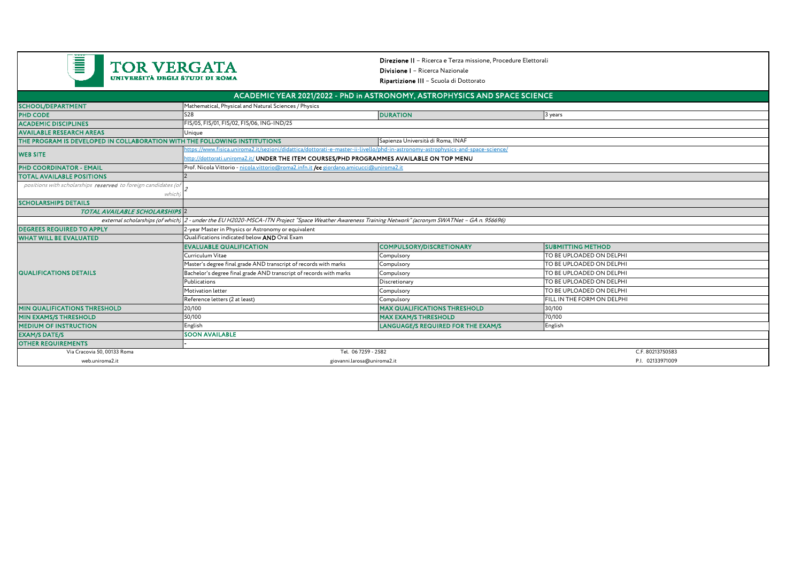

Direzione II – Ricerca e Terza missione, Procedure ElettoraliDivisione I – Ricerca Nazionale

Ripartizione III – Scuola di Dottorato

|                                                                                                                |                                                                                                                                                      | ACADEMIC YEAR 2021/2022 - PhD in ASTRONOMY, ASTROPHYSICS AND SPACE SCIENCE |                            |  |
|----------------------------------------------------------------------------------------------------------------|------------------------------------------------------------------------------------------------------------------------------------------------------|----------------------------------------------------------------------------|----------------------------|--|
| <b>SCHOOL/DEPARTMENT</b>                                                                                       | Mathematical, Physical and Natural Sciences / Physics                                                                                                |                                                                            |                            |  |
| <b>PHD CODE</b>                                                                                                | <b>S28</b>                                                                                                                                           | <b>DURATION</b>                                                            | 3 years                    |  |
| <b>ACADEMIC DISCIPLINES</b>                                                                                    | FIS/05, FIS/01, FIS/02, FIS/06, ING-IND/25                                                                                                           |                                                                            |                            |  |
| <b>AVAILABLE RESEARCH AREAS</b>                                                                                | Unique                                                                                                                                               |                                                                            |                            |  |
| THE PROGRAM IS DEVELOPED IN COLLABORATION WITH THE FOLLOWING INSTITUTIONS<br>Sapienza Università di Roma, INAF |                                                                                                                                                      |                                                                            |                            |  |
|                                                                                                                | /ttps://www.fisica.uniroma2.it/sezioni/didattica/dottorati-e-master-ii-livello/phd-in-astronomy-astrophysics-and-space-science/                      |                                                                            |                            |  |
| <b>WEB SITE</b>                                                                                                | http://dottorati.uniroma2.it/ UNDER THE ITEM COURSES/PHD PROGRAMMES AVAILABLE ON TOP MENU                                                            |                                                                            |                            |  |
| <b>PHD COORDINATOR - EMAIL</b>                                                                                 | Prof. Nicola Vittorio - nicola vittorio@roma2.infn.it /cc giordano.amicucci@uniroma2.it                                                              |                                                                            |                            |  |
| <b>TOTAL AVAILABLE POSITIONS</b>                                                                               |                                                                                                                                                      |                                                                            |                            |  |
| positions with scholarships reserved to foreign candidates (of                                                 |                                                                                                                                                      |                                                                            |                            |  |
| which                                                                                                          |                                                                                                                                                      |                                                                            |                            |  |
| <b>SCHOLARSHIPS DETAILS</b>                                                                                    |                                                                                                                                                      |                                                                            |                            |  |
| <b>TOTAL AVAILABLE SCHOLARSHIPS 2</b>                                                                          |                                                                                                                                                      |                                                                            |                            |  |
|                                                                                                                | external scholarships (of which) 2 - under the EU H2020-MSCA-ITN Project "Space Weather Awareness Training Network" (acronym SWATNet - GA n. 956696) |                                                                            |                            |  |
| <b>DEGREES REQUIRED TO APPLY</b>                                                                               | 2-year Master in Physics or Astronomy or equivalent                                                                                                  |                                                                            |                            |  |
| <b>WHAT WILL BE EVALUATED</b>                                                                                  | Qualifications indicated below AND Oral Exam                                                                                                         |                                                                            |                            |  |
| <b>QUALIFICATIONS DETAILS</b>                                                                                  | <b>EVALUABLE QUALIFICATION</b>                                                                                                                       | <b>COMPULSORY/DISCRETIONARY</b>                                            | <b>SUBMITTING METHOD</b>   |  |
|                                                                                                                | Curriculum Vitae                                                                                                                                     | Compulsory                                                                 | TO BE UPLOADED ON DELPHI   |  |
|                                                                                                                | Master's degree final grade AND transcript of records with marks                                                                                     | Compulsory                                                                 | TO BE UPLOADED ON DELPHI   |  |
|                                                                                                                | Bachelor's degree final grade AND transcript of records with marks                                                                                   | Compulsory                                                                 | TO BE UPLOADED ON DELPHI   |  |
|                                                                                                                | Publications                                                                                                                                         | Discretionary                                                              | TO BE UPLOADED ON DELPHI   |  |
|                                                                                                                | Motivation letter                                                                                                                                    | Compulsory                                                                 | TO BE UPLOADED ON DELPHI   |  |
|                                                                                                                | Reference letters (2 at least)                                                                                                                       | Compulsory                                                                 | FILL IN THE FORM ON DELPHI |  |
| <b>MIN QUALIFICATIONS THRESHOLD</b>                                                                            | 20/100                                                                                                                                               | <b>MAX QUALIFICATIONS THRESHOLD</b>                                        | 30/100                     |  |
| <b>MIN EXAMS/S THRESHOLD</b>                                                                                   | 50/100                                                                                                                                               | <b>MAX EXAM/S THRESHOLD</b>                                                | 70/100                     |  |
| <b>MEDIUM OF INSTRUCTION</b>                                                                                   | English                                                                                                                                              | <b>LANGUAGE/S REQUIRED FOR THE EXAM/S</b>                                  | English                    |  |
| <b>EXAM/S DATE/S</b>                                                                                           | <b>SOON AVAILABLE</b>                                                                                                                                |                                                                            |                            |  |
| <b>OTHER REQUIREMENTS</b>                                                                                      |                                                                                                                                                      |                                                                            |                            |  |
| Via Cracovia 50, 00133 Roma                                                                                    | Tel. 06 7259 - 2582                                                                                                                                  |                                                                            | C.F. 80213750583           |  |
| web.uniroma2.it                                                                                                | giovanni.larosa@uniroma2.it                                                                                                                          |                                                                            | P.I. 02133971009           |  |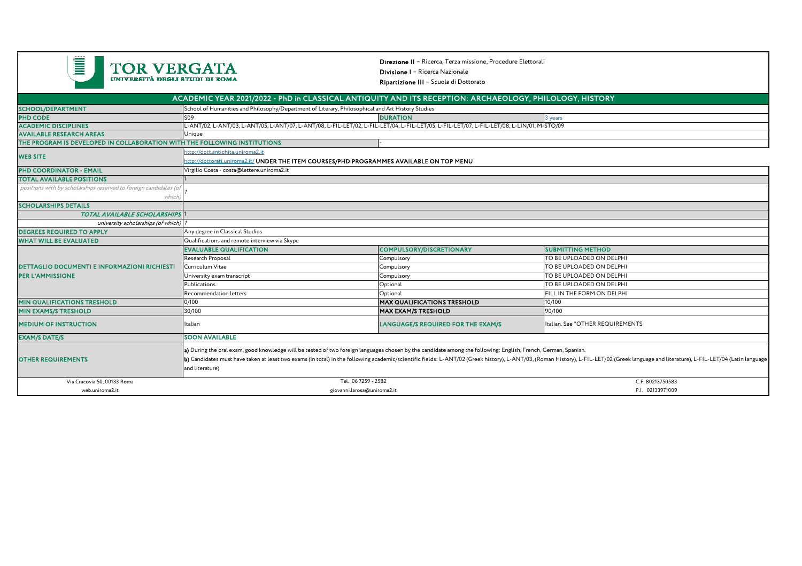| Ĩ<br><b>TOR VERGATA</b><br>UNIVERSITÀ DEGLI STUDI DI ROMA                                               |                                                                                                                                                                                                                                                                                                                                                                                                                                                                | Direzione II - Ricerca, Terza missione, Procedure Elettorali<br><b>Divisione I</b> - Ricerca Nazionale<br>Ripartizione III - Scuola di Dottorato |                                  |  |  |  |  |
|---------------------------------------------------------------------------------------------------------|----------------------------------------------------------------------------------------------------------------------------------------------------------------------------------------------------------------------------------------------------------------------------------------------------------------------------------------------------------------------------------------------------------------------------------------------------------------|--------------------------------------------------------------------------------------------------------------------------------------------------|----------------------------------|--|--|--|--|
| ACADEMIC YEAR 2021/2022 - PhD in CLASSICAL ANTIQUITY AND ITS RECEPTION: ARCHAEOLOGY, PHILOLOGY, HISTORY |                                                                                                                                                                                                                                                                                                                                                                                                                                                                |                                                                                                                                                  |                                  |  |  |  |  |
| <b>SCHOOL/DEPARTMENT</b>                                                                                | School of Humanities and Philosophy/Department of Literary, Philosophical and Art History Studies                                                                                                                                                                                                                                                                                                                                                              |                                                                                                                                                  |                                  |  |  |  |  |
| <b>PHD CODE</b>                                                                                         | S09                                                                                                                                                                                                                                                                                                                                                                                                                                                            | <b>DURATION</b>                                                                                                                                  | 3 years                          |  |  |  |  |
| <b>ACADEMIC DISCIPLINES</b>                                                                             | L-ANT/02, L-ANT/03, L-ANT/05, L-ANT/07, L-ANT/08, L-FIL-LET/02, L-FIL-LET/04, L-FIL-LET/05, L-FIL-LET/07, L-FIL-LET/08, L-LIN/01, M-STO/09                                                                                                                                                                                                                                                                                                                     |                                                                                                                                                  |                                  |  |  |  |  |
| <b>AVAILABLE RESEARCH AREAS</b>                                                                         | Unique                                                                                                                                                                                                                                                                                                                                                                                                                                                         |                                                                                                                                                  |                                  |  |  |  |  |
| THE PROGRAM IS DEVELOPED IN COLLABORATION WITH THE FOLLOWING INSTITUTIONS                               |                                                                                                                                                                                                                                                                                                                                                                                                                                                                |                                                                                                                                                  |                                  |  |  |  |  |
| <b>WEB SITE</b>                                                                                         | http://dott.antichita.uniroma2.it                                                                                                                                                                                                                                                                                                                                                                                                                              |                                                                                                                                                  |                                  |  |  |  |  |
|                                                                                                         | http://dottorati.uniroma2.it/ UNDER THE ITEM COURSES/PHD PROGRAMMES AVAILABLE ON TOP MENU                                                                                                                                                                                                                                                                                                                                                                      |                                                                                                                                                  |                                  |  |  |  |  |
| <b>PHD COORDINATOR - EMAIL</b>                                                                          | Virgilio Costa - costa@lettere.uniroma2.it                                                                                                                                                                                                                                                                                                                                                                                                                     |                                                                                                                                                  |                                  |  |  |  |  |
| <b>TOTAL AVAILABLE POSITIONS</b>                                                                        |                                                                                                                                                                                                                                                                                                                                                                                                                                                                |                                                                                                                                                  |                                  |  |  |  |  |
| positions with by scholarships reserved to foreign candidates (or                                       |                                                                                                                                                                                                                                                                                                                                                                                                                                                                |                                                                                                                                                  |                                  |  |  |  |  |
| which                                                                                                   |                                                                                                                                                                                                                                                                                                                                                                                                                                                                |                                                                                                                                                  |                                  |  |  |  |  |
| <b>SCHOLARSHIPS DETAILS</b>                                                                             |                                                                                                                                                                                                                                                                                                                                                                                                                                                                |                                                                                                                                                  |                                  |  |  |  |  |
| <b>TOTAL AVAILABLE SCHOLARSHIPS</b>                                                                     |                                                                                                                                                                                                                                                                                                                                                                                                                                                                |                                                                                                                                                  |                                  |  |  |  |  |
| university scholarships (of which)                                                                      |                                                                                                                                                                                                                                                                                                                                                                                                                                                                |                                                                                                                                                  |                                  |  |  |  |  |
| <b>DEGREES REQUIRED TO APPLY</b>                                                                        | Any degree in Classical Studies                                                                                                                                                                                                                                                                                                                                                                                                                                |                                                                                                                                                  |                                  |  |  |  |  |
| <b>WHAT WILL BE EVALUATED</b>                                                                           | Qualifications and remote interview via Skype                                                                                                                                                                                                                                                                                                                                                                                                                  |                                                                                                                                                  |                                  |  |  |  |  |
|                                                                                                         | <b>EVALUABLE QUALIFICATION</b>                                                                                                                                                                                                                                                                                                                                                                                                                                 | <b>COMPULSORY/DISCRETIONARY</b>                                                                                                                  | <b>SUBMITTING METHOD</b>         |  |  |  |  |
|                                                                                                         | Research Proposal                                                                                                                                                                                                                                                                                                                                                                                                                                              | Compulsory                                                                                                                                       | TO BE UPLOADED ON DELPHI         |  |  |  |  |
| <b>DETTAGLIO DOCUMENTI E INFORMAZIONI RICHIESTI</b><br><b>PER L'AMMISSIONE</b>                          | Curriculum Vitae                                                                                                                                                                                                                                                                                                                                                                                                                                               | Compulsory                                                                                                                                       | TO BE UPLOADED ON DELPHI         |  |  |  |  |
|                                                                                                         | University exam transcript                                                                                                                                                                                                                                                                                                                                                                                                                                     | Compulsory                                                                                                                                       | TO BE UPLOADED ON DELPHI         |  |  |  |  |
|                                                                                                         | Publications                                                                                                                                                                                                                                                                                                                                                                                                                                                   | Optional                                                                                                                                         | TO BE UPLOADED ON DELPHI         |  |  |  |  |
|                                                                                                         | Recommendation letters                                                                                                                                                                                                                                                                                                                                                                                                                                         | Optional                                                                                                                                         | FILL IN THE FORM ON DELPHI       |  |  |  |  |
| <b>MIN QUALIFICATIONS TRESHOLD</b>                                                                      | 0/100                                                                                                                                                                                                                                                                                                                                                                                                                                                          | <b>MAX QUALIFICATIONS TRESHOLD</b>                                                                                                               | 10/100                           |  |  |  |  |
| <b>MIN EXAMS/S TRESHOLD</b>                                                                             | 30/100                                                                                                                                                                                                                                                                                                                                                                                                                                                         | <b>MAX EXAM/S TRESHOLD</b>                                                                                                                       | 90/100                           |  |  |  |  |
| <b>MEDIUM OF INSTRUCTION</b>                                                                            | Italian                                                                                                                                                                                                                                                                                                                                                                                                                                                        | LANGUAGE/S REQUIRED FOR THE EXAM/S                                                                                                               | Italian. See "OTHER REQUIREMENTS |  |  |  |  |
| <b>EXAM/S DATE/S</b>                                                                                    | <b>SOON AVAILABLE</b>                                                                                                                                                                                                                                                                                                                                                                                                                                          |                                                                                                                                                  |                                  |  |  |  |  |
| <b>OTHER REQUIREMENTS</b><br>Via Cracovia 50, 00133 Roma                                                | a) During the oral exam, good knowledge will be tested of two foreign languages chosen by the candidate among the following: English, French, German, Spanish.<br>b) Candidates must have taken at least two exams (in total) in the following academic/scientific fields: L-ANT/02 (Greek history), L-ANT/03, (Roman History), L-FIL-LET/02 (Greek language and literature), L-FIL-LET/04 (Lati<br>and literature)<br>Tel. 06 7259 - 2582<br>C.F. 80213750583 |                                                                                                                                                  |                                  |  |  |  |  |
|                                                                                                         |                                                                                                                                                                                                                                                                                                                                                                                                                                                                |                                                                                                                                                  | P.I. 02133971009                 |  |  |  |  |
| web.uniroma2.it                                                                                         | giovanni.larosa@uniroma2.it                                                                                                                                                                                                                                                                                                                                                                                                                                    |                                                                                                                                                  |                                  |  |  |  |  |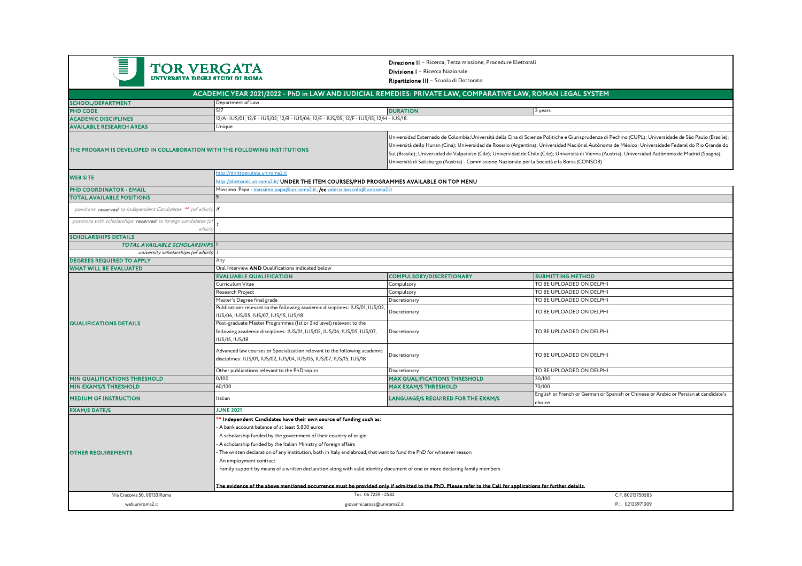| <b>TOR VERGATA</b><br>UNIVERSITÀ DEGLI STUDI DI ROMA                      |                                                                                                                                                                                                                                                                                                                                                                                                                                                                                                                                                                                                                                                                                                           | <b>Direzione II</b> - Ricerca, Terza missione, Procedure Elettorali<br>Divisione   - Ricerca Nazionale<br>Ripartizione III - Scuola di Dottorato                                                                                                                                                                                                                                                                                                                                                                                                                      |                                                                                                 |  |  |
|---------------------------------------------------------------------------|-----------------------------------------------------------------------------------------------------------------------------------------------------------------------------------------------------------------------------------------------------------------------------------------------------------------------------------------------------------------------------------------------------------------------------------------------------------------------------------------------------------------------------------------------------------------------------------------------------------------------------------------------------------------------------------------------------------|-----------------------------------------------------------------------------------------------------------------------------------------------------------------------------------------------------------------------------------------------------------------------------------------------------------------------------------------------------------------------------------------------------------------------------------------------------------------------------------------------------------------------------------------------------------------------|-------------------------------------------------------------------------------------------------|--|--|
|                                                                           | ACADEMIC YEAR 2021/2022 - PhD in LAW AND JUDICIAL REMEDIES: PRIVATE LAW, COMPARATIVE LAW, ROMAN LEGAL SYSTEM                                                                                                                                                                                                                                                                                                                                                                                                                                                                                                                                                                                              |                                                                                                                                                                                                                                                                                                                                                                                                                                                                                                                                                                       |                                                                                                 |  |  |
| SCHOOL/DEPARTMENT                                                         | Department of Law                                                                                                                                                                                                                                                                                                                                                                                                                                                                                                                                                                                                                                                                                         |                                                                                                                                                                                                                                                                                                                                                                                                                                                                                                                                                                       |                                                                                                 |  |  |
| <b>PHD CODE</b>                                                           | <b>S17</b>                                                                                                                                                                                                                                                                                                                                                                                                                                                                                                                                                                                                                                                                                                | <b>DURATION</b>                                                                                                                                                                                                                                                                                                                                                                                                                                                                                                                                                       | 3 years                                                                                         |  |  |
| <b>ACADEMIC DISCIPLINES</b>                                               | 12/A- IUS/01; 12/E - IUS/02; 12/B - IUS/04; 12/E - IUS/05; 12/F - IUS/15; 12/H - IUS/18.                                                                                                                                                                                                                                                                                                                                                                                                                                                                                                                                                                                                                  |                                                                                                                                                                                                                                                                                                                                                                                                                                                                                                                                                                       |                                                                                                 |  |  |
| <b>AVAILABLE RESEARCH AREAS</b>                                           | Unique                                                                                                                                                                                                                                                                                                                                                                                                                                                                                                                                                                                                                                                                                                    |                                                                                                                                                                                                                                                                                                                                                                                                                                                                                                                                                                       |                                                                                                 |  |  |
| THE PROGRAM IS DEVELOPED IN COLLABORATION WITH THE FOLLOWING INSTITUTIONS |                                                                                                                                                                                                                                                                                                                                                                                                                                                                                                                                                                                                                                                                                                           | Universidad Externado de Colombia;Università della Cina di Scienze Politiche e Giurisprudenza di Pechino (CUPL); Universidade de São Paulo (Brasile);<br>Università dello Hunan (Cina); Universidad de Rosario (Argentina); Universidad Naciónal Autónoma de México; Universidade Federal do Rio Grande do<br>Sul (Brasile); Universidad de Valparaíso (Cile); Universidad de Chile (Cile); Università di Vienna (Austria); Universidad Autónoma de Madrid (Spagna);<br>Università di Salisburgo (Austria) - Commissione Nazionale per la Società e la Borsa (CONSOB) |                                                                                                 |  |  |
| <b>WEB SITE</b>                                                           |                                                                                                                                                                                                                                                                                                                                                                                                                                                                                                                                                                                                                                                                                                           | http://dirittoetutela.uniroma2.it<br>ittp://dottorati.uniroma2.it/ UNDER THE ITEM COURSES/PHD PROGRAMMES AVAILABLE ON TOP MENU                                                                                                                                                                                                                                                                                                                                                                                                                                        |                                                                                                 |  |  |
| <b>PHD COORDINATOR - EMAIL</b>                                            |                                                                                                                                                                                                                                                                                                                                                                                                                                                                                                                                                                                                                                                                                                           | Massimo Papa - massimo.papa@uniroma2.it; /cc valeria.boscolo@uniroma2.it                                                                                                                                                                                                                                                                                                                                                                                                                                                                                              |                                                                                                 |  |  |
| <b>TOTAL AVAILABLE POSITIONS</b>                                          |                                                                                                                                                                                                                                                                                                                                                                                                                                                                                                                                                                                                                                                                                                           |                                                                                                                                                                                                                                                                                                                                                                                                                                                                                                                                                                       |                                                                                                 |  |  |
| positions reserved to Independent Candidates <sup>00</sup> (of which) 8   |                                                                                                                                                                                                                                                                                                                                                                                                                                                                                                                                                                                                                                                                                                           |                                                                                                                                                                                                                                                                                                                                                                                                                                                                                                                                                                       |                                                                                                 |  |  |
| positions with scholarships reserved to foreign candidates (of            | which                                                                                                                                                                                                                                                                                                                                                                                                                                                                                                                                                                                                                                                                                                     |                                                                                                                                                                                                                                                                                                                                                                                                                                                                                                                                                                       |                                                                                                 |  |  |
| <b>SCHOLARSHIPS DETAILS</b>                                               |                                                                                                                                                                                                                                                                                                                                                                                                                                                                                                                                                                                                                                                                                                           |                                                                                                                                                                                                                                                                                                                                                                                                                                                                                                                                                                       |                                                                                                 |  |  |
| TOTAL AVAILABLE SCHOLARSHIPS                                              |                                                                                                                                                                                                                                                                                                                                                                                                                                                                                                                                                                                                                                                                                                           |                                                                                                                                                                                                                                                                                                                                                                                                                                                                                                                                                                       |                                                                                                 |  |  |
| university scholarships (of which)                                        |                                                                                                                                                                                                                                                                                                                                                                                                                                                                                                                                                                                                                                                                                                           |                                                                                                                                                                                                                                                                                                                                                                                                                                                                                                                                                                       |                                                                                                 |  |  |
| <b>DEGREES REQUIRED TO APPLY</b>                                          | Anv                                                                                                                                                                                                                                                                                                                                                                                                                                                                                                                                                                                                                                                                                                       |                                                                                                                                                                                                                                                                                                                                                                                                                                                                                                                                                                       |                                                                                                 |  |  |
| <b>WHAT WILL BE EVALUATED</b>                                             | Oral Interview AND Qualifications indicated below                                                                                                                                                                                                                                                                                                                                                                                                                                                                                                                                                                                                                                                         |                                                                                                                                                                                                                                                                                                                                                                                                                                                                                                                                                                       |                                                                                                 |  |  |
|                                                                           | <b>EVALUABLE QUALIFICATION</b>                                                                                                                                                                                                                                                                                                                                                                                                                                                                                                                                                                                                                                                                            | <b>COMPULSORY/DISCRETIONARY</b>                                                                                                                                                                                                                                                                                                                                                                                                                                                                                                                                       | <b>SUBMITTING METHOD</b>                                                                        |  |  |
|                                                                           | Curriculum Vitae                                                                                                                                                                                                                                                                                                                                                                                                                                                                                                                                                                                                                                                                                          | Compulsory                                                                                                                                                                                                                                                                                                                                                                                                                                                                                                                                                            | TO BE UPLOADED ON DELPHI                                                                        |  |  |
|                                                                           | Research Project                                                                                                                                                                                                                                                                                                                                                                                                                                                                                                                                                                                                                                                                                          | Compulsory                                                                                                                                                                                                                                                                                                                                                                                                                                                                                                                                                            | TO BE UPLOADED ON DELPHI                                                                        |  |  |
|                                                                           | Master's Degree final grade                                                                                                                                                                                                                                                                                                                                                                                                                                                                                                                                                                                                                                                                               | Discretionary                                                                                                                                                                                                                                                                                                                                                                                                                                                                                                                                                         | TO BE UPLOADED ON DELPHI                                                                        |  |  |
|                                                                           | Publications relevant to the following academic disciplines: IUS/01, IUS/02,<br>US/04, IUS/05, IUS/07, IUS/15, IUS/18                                                                                                                                                                                                                                                                                                                                                                                                                                                                                                                                                                                     | Discretionary                                                                                                                                                                                                                                                                                                                                                                                                                                                                                                                                                         | TO BE UPLOADED ON DELPHI                                                                        |  |  |
| <b>QUALIFICATIONS DETAILS</b>                                             | Post-graduate Master Programmes (1st or 2nd level) relevant to the<br>following academic disciplines: IUS/01, IUS/02, IUS/04, IUS/05, IUS/07,<br>US/15, IUS/18                                                                                                                                                                                                                                                                                                                                                                                                                                                                                                                                            | Discretionary                                                                                                                                                                                                                                                                                                                                                                                                                                                                                                                                                         | TO BE UPLOADED ON DELPHI                                                                        |  |  |
|                                                                           | Advanced law courses or Specialization relevant to the following academic<br>disciplines: IUS/01, IUS/02, IUS/04, IUS/05, IUS/07, IUS/15, IUS/18                                                                                                                                                                                                                                                                                                                                                                                                                                                                                                                                                          | Discretionary                                                                                                                                                                                                                                                                                                                                                                                                                                                                                                                                                         | TO BE UPLOADED ON DELPHI                                                                        |  |  |
|                                                                           | Other publications relevant to the PhD topics                                                                                                                                                                                                                                                                                                                                                                                                                                                                                                                                                                                                                                                             | Discretionary                                                                                                                                                                                                                                                                                                                                                                                                                                                                                                                                                         | TO BE UPLOADED ON DELPHI                                                                        |  |  |
| <b>MIN QUALIFICATIONS THRESHOLD</b>                                       | 0/100                                                                                                                                                                                                                                                                                                                                                                                                                                                                                                                                                                                                                                                                                                     | <b>MAX QUALIFICATIONS THRESHOLD</b>                                                                                                                                                                                                                                                                                                                                                                                                                                                                                                                                   | 30/100                                                                                          |  |  |
| <b>MIN EXAMS/S THRESHOLD</b>                                              | 60/100                                                                                                                                                                                                                                                                                                                                                                                                                                                                                                                                                                                                                                                                                                    | <b>MAX EXAM/S THRESHOLD</b>                                                                                                                                                                                                                                                                                                                                                                                                                                                                                                                                           | 70/100                                                                                          |  |  |
| <b>MEDIUM OF INSTRUCTION</b>                                              | Italian                                                                                                                                                                                                                                                                                                                                                                                                                                                                                                                                                                                                                                                                                                   | LANGUAGE/S REQUIRED FOR THE EXAM/S                                                                                                                                                                                                                                                                                                                                                                                                                                                                                                                                    | English or French or German or Spanish or Chinese or Arabic or Persian at candidate's<br>choice |  |  |
| <b>EXAM/S DATE/S</b>                                                      | <b>JUNE 2021</b>                                                                                                                                                                                                                                                                                                                                                                                                                                                                                                                                                                                                                                                                                          |                                                                                                                                                                                                                                                                                                                                                                                                                                                                                                                                                                       |                                                                                                 |  |  |
| <b>OTHER REQUIREMENTS</b>                                                 | Independent Candidates have their own source of funding such as:<br>A bank account balance of at least 5.800 euros<br>A scholarship funded by the government of their country of origin<br>A scholarship funded by the Italian Ministry of foreign affairs<br>The written declaration of any institution, both in Italy and abroad, that want to fund the PhD for whatever reason<br>An employment contract<br>Family support by means of a written declaration along with valid identity document of one or more declaring family members<br>The evidence of the above mentioned occurrence must be provided only if admitted to the PhD. Please refer to the Call for applications for further details. |                                                                                                                                                                                                                                                                                                                                                                                                                                                                                                                                                                       |                                                                                                 |  |  |
| Via Cracovia 50, 00133 Roma                                               |                                                                                                                                                                                                                                                                                                                                                                                                                                                                                                                                                                                                                                                                                                           | Tel. 06 7259 - 2582<br>C.F. 80213750583                                                                                                                                                                                                                                                                                                                                                                                                                                                                                                                               |                                                                                                 |  |  |
| web.uniroma2.it                                                           | giovanni.larosa@uniroma2.it                                                                                                                                                                                                                                                                                                                                                                                                                                                                                                                                                                                                                                                                               |                                                                                                                                                                                                                                                                                                                                                                                                                                                                                                                                                                       | P.I. 02133971009                                                                                |  |  |